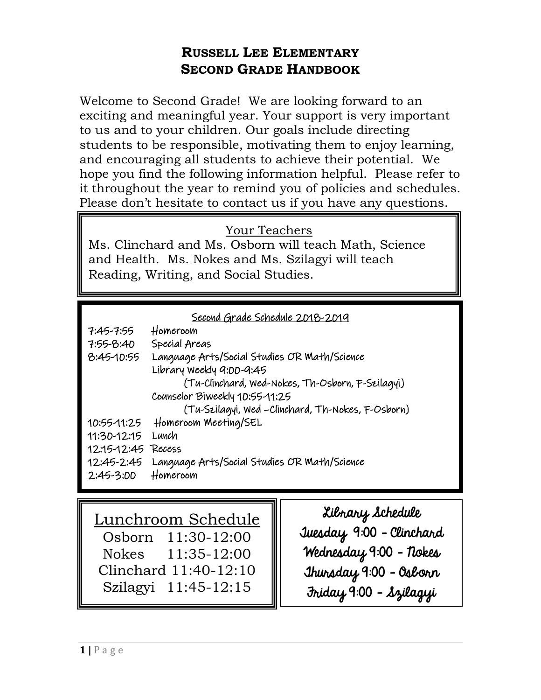# **RUSSELL LEE ELEMENTARY SECOND GRADE HANDBOOK**

Welcome to Second Grade! We are looking forward to an exciting and meaningful year. Your support is very important to us and to your children. Our goals include directing students to be responsible, motivating them to enjoy learning, and encouraging all students to achieve their potential. We hope you find the following information helpful. Please refer to it throughout the year to remind you of policies and schedules. Please don't hesitate to contact us if you have any questions.

## Your Teachers

Ms. Clinchard and Ms. Osborn will teach Math, Science and Health. Ms. Nokes and Ms. Szilagyi will teach Reading, Writing, and Social Studies.

|  |  |  |  | Second Grade Schedule 2018-2019 |
|--|--|--|--|---------------------------------|
|--|--|--|--|---------------------------------|

| 7:45-7:55          | Homeroom                                          |  |  |  |
|--------------------|---------------------------------------------------|--|--|--|
| $7:55 - 8:40$      | Special Areas                                     |  |  |  |
| $8:45-10:55$       | Language Arts/Social Studies OR Math/Science      |  |  |  |
|                    | Library Weekly 9:00-9:45                          |  |  |  |
|                    | (Tu-Clinchard, Wed-Nokes, Th-Osborn, F-Szilagyi)  |  |  |  |
|                    | Counselor Biweekly 10:55-11:25                    |  |  |  |
|                    | (Tu-Szilagyi, Wed -Clinchard, Th-Nokes, F-Osborn) |  |  |  |
|                    | 10:55-11:25 Homeroom Meeting/SEL                  |  |  |  |
| 11:30-12:15        | Lunch                                             |  |  |  |
| 12:15-12:45 Recess |                                                   |  |  |  |
| 12:45-2:45         | Language Arts/Social Studies OR Math/Science      |  |  |  |
| $2:45-3:00$        | Homeroom                                          |  |  |  |

Lunchroom Schedule Osborn 11:30-12:00 Nokes 11:35-12:00 Clinchard 11:40-12:10 Szilagyi 11:45-12:15

Library Schedule Tuesday 9:00 – Clinchard Wednesday 9:00 – Nokes Thursday 9:00 – Osborn Friday 9:00 - Szilagyi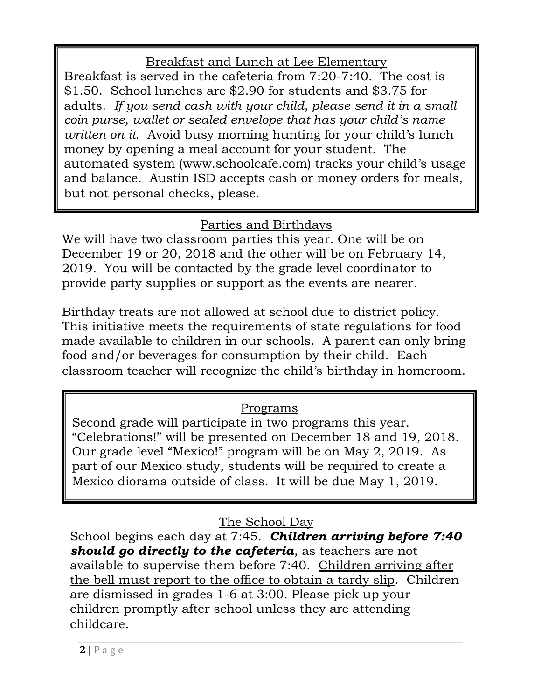# Breakfast and Lunch at Lee Elementary

Breakfast is served in the cafeteria from 7:20-7:40. The cost is \$1.50. School lunches are \$2.90 for students and \$3.75 for adults. *If you send cash with your child, please send it in a small coin purse, wallet or sealed envelope that has your child's name written on it*. Avoid busy morning hunting for your child's lunch money by opening a meal account for your student. The automated system (www.schoolcafe.com) tracks your child's usage and balance. Austin ISD accepts cash or money orders for meals, but not personal checks, please.

# Parties and Birthdays

We will have two classroom parties this year. One will be on December 19 or 20, 2018 and the other will be on February 14, 2019. You will be contacted by the grade level coordinator to provide party supplies or support as the events are nearer.

Birthday treats are not allowed at school due to district policy. This initiative meets the requirements of state regulations for food made available to children in our schools. A parent can only bring food and/or beverages for consumption by their child. Each classroom teacher will recognize the child's birthday in homeroom.

## Programs

Second grade will participate in two programs this year. "Celebrations!" will be presented on December 18 and 19, 2018. Our grade level "Mexico!" program will be on May 2, 2019. As part of our Mexico study, students will be required to create a Mexico diorama outside of class. It will be due May 1, 2019.

The School Day

School begins each day at 7:45. *Children arriving before 7:40 should go directly to the cafeteria*, as teachers are not available to supervise them before 7:40. Children arriving after the bell must report to the office to obtain a tardy slip. Children are dismissed in grades 1-6 at 3:00. Please pick up your children promptly after school unless they are attending childcare.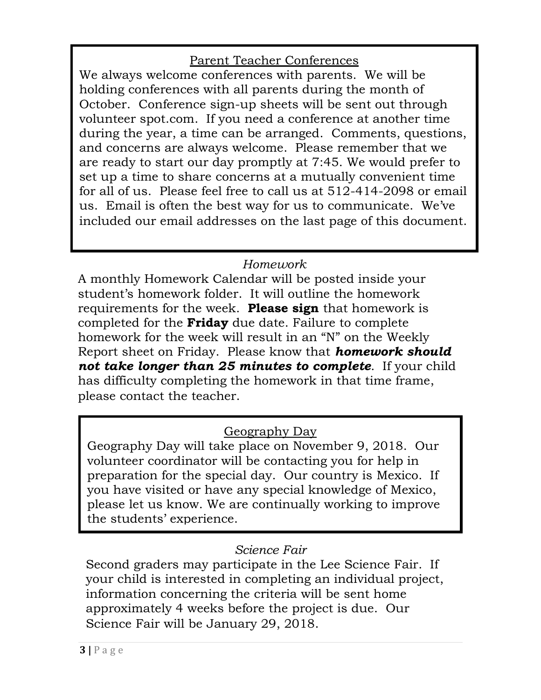## Parent Teacher Conferences

We always welcome conferences with parents. We will be holding conferences with all parents during the month of October. Conference sign-up sheets will be sent out through volunteer spot.com. If you need a conference at another time during the year, a time can be arranged. Comments, questions, and concerns are always welcome. Please remember that we are ready to start our day promptly at 7:45. We would prefer to set up a time to share concerns at a mutually convenient time for all of us. Please feel free to call us at 512-414-2098 or email us. Email is often the best way for us to communicate. We've included our email addresses on the last page of this document.

## *Homework*

A monthly Homework Calendar will be posted inside your student's homework folder. It will outline the homework requirements for the week. **Please sign** that homework is completed for the **Friday** due date. Failure to complete homework for the week will result in an "N" on the Weekly Report sheet on Friday. Please know that *homework should not take longer than 25 minutes to complete*. If your child has difficulty completing the homework in that time frame, please contact the teacher.

#### Geography Day

Geography Day will take place on November 9, 2018. Our volunteer coordinator will be contacting you for help in preparation for the special day. Our country is Mexico. If you have visited or have any special knowledge of Mexico, please let us know. We are continually working to improve the students' experience.

#### *Science Fair*

Second graders may participate in the Lee Science Fair. If your child is interested in completing an individual project, information concerning the criteria will be sent home approximately 4 weeks before the project is due. Our Science Fair will be January 29, 2018.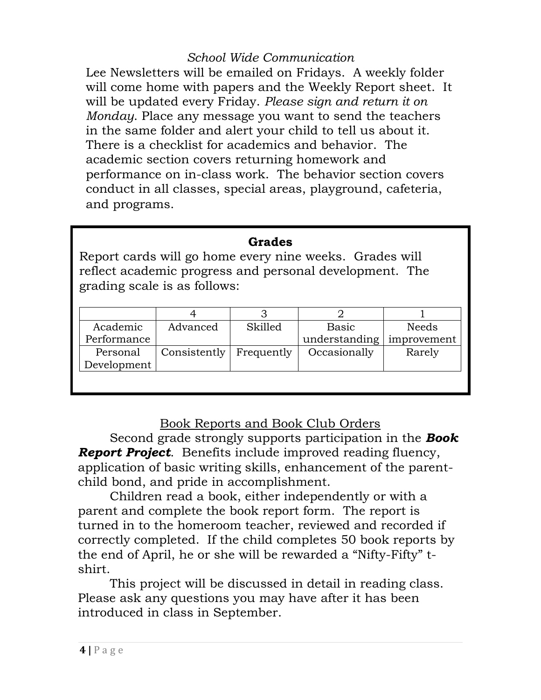#### *School Wide Communication*

Lee Newsletters will be emailed on Fridays. A weekly folder will come home with papers and the Weekly Report sheet. It will be updated every Friday. *Please sign and return it on Monday*. Place any message you want to send the teachers in the same folder and alert your child to tell us about it. There is a checklist for academics and behavior. The academic section covers returning homework and performance on in-class work. The behavior section covers conduct in all classes, special areas, playground, cafeteria, and programs.

#### **Grades**

Report cards will go home every nine weeks. Grades will reflect academic progress and personal development. The grading scale is as follows:

| Academic    | Advanced     | Skilled    | Basic         | Needs       |
|-------------|--------------|------------|---------------|-------------|
| Performance |              |            | understanding | improvement |
| Personal    | Consistently | Frequently | Occasionally  | Rarely      |
| Development |              |            |               |             |
|             |              |            |               |             |
|             |              |            |               |             |

#### Book Reports and Book Club Orders

Second grade strongly supports participation in the *Book Report Project*. Benefits include improved reading fluency, application of basic writing skills, enhancement of the parentchild bond, and pride in accomplishment.

Children read a book, either independently or with a parent and complete the book report form. The report is turned in to the homeroom teacher, reviewed and recorded if correctly completed. If the child completes 50 book reports by the end of April, he or she will be rewarded a "Nifty-Fifty" tshirt.

This project will be discussed in detail in reading class. Please ask any questions you may have after it has been introduced in class in September.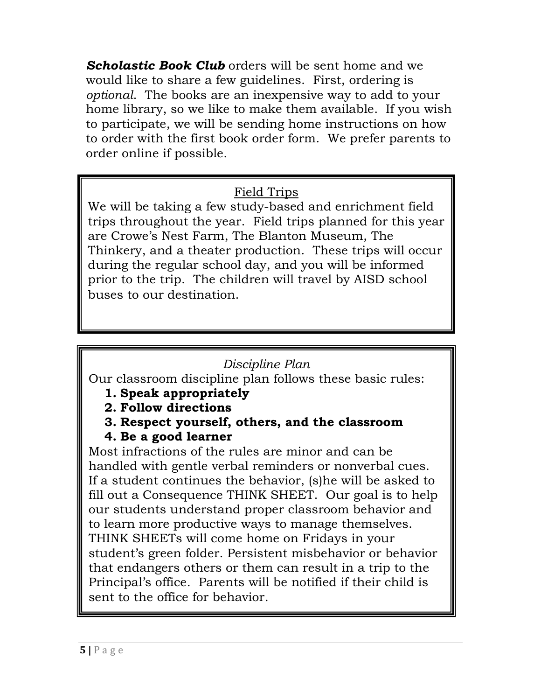**Scholastic Book Club** orders will be sent home and we would like to share a few guidelines. First, ordering is *optional*. The books are an inexpensive way to add to your home library, so we like to make them available. If you wish to participate, we will be sending home instructions on how to order with the first book order form. We prefer parents to order online if possible.

## Field Trips

We will be taking a few study-based and enrichment field trips throughout the year. Field trips planned for this year are Crowe's Nest Farm, The Blanton Museum, The Thinkery, and a theater production. These trips will occur during the regular school day, and you will be informed prior to the trip. The children will travel by AISD school buses to our destination.

## *Discipline Plan*

Our classroom discipline plan follows these basic rules:

- **1. Speak appropriately**
- **2. Follow directions**
- **3. Respect yourself, others, and the classroom**

## **4. Be a good learner**

Most infractions of the rules are minor and can be handled with gentle verbal reminders or nonverbal cues. If a student continues the behavior, (s)he will be asked to fill out a Consequence THINK SHEET. Our goal is to help our students understand proper classroom behavior and to learn more productive ways to manage themselves. THINK SHEETs will come home on Fridays in your student's green folder. Persistent misbehavior or behavior that endangers others or them can result in a trip to the Principal's office. Parents will be notified if their child is sent to the office for behavior.